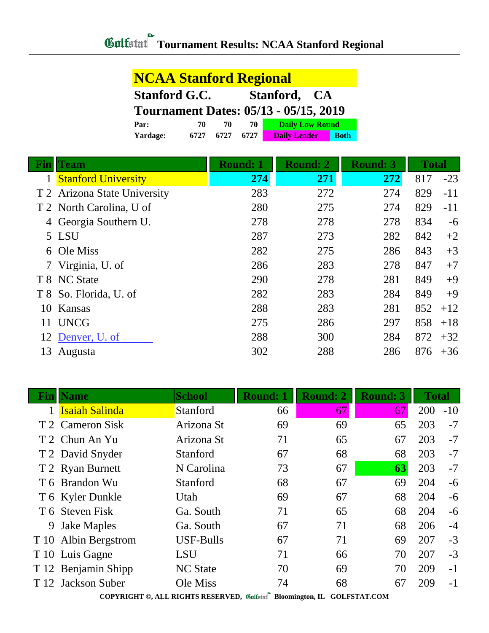| <b>NCAA Stanford Regional</b>                |      |      |      |                        |             |  |  |
|----------------------------------------------|------|------|------|------------------------|-------------|--|--|
| <b>Stanford G.C.</b><br>Stanford, CA         |      |      |      |                        |             |  |  |
| <b>Tournament Dates: 05/13 - 05/15, 2019</b> |      |      |      |                        |             |  |  |
| Par:                                         | 70   | 70   | 70   | <b>Daily Low Round</b> |             |  |  |
| Yardage:                                     | 6727 | 6727 | 6727 | <b>Daily Leader</b>    | <b>Both</b> |  |  |

| <b>KID</b> | <b>Team</b>                  | <b>Round: 1</b> | <b>Round: 2</b> | <b>Round: 3</b> | <b>Total</b> |       |
|------------|------------------------------|-----------------|-----------------|-----------------|--------------|-------|
|            | <b>Stanford University</b>   | 274             | 271             | 272             | 817          | $-23$ |
|            | T 2 Arizona State University | 283             | 272             | 274             | 829          | $-11$ |
|            | T 2 North Carolina, U of     | 280             | 275             | 274             | 829          | $-11$ |
|            | 4 Georgia Southern U.        | 278             | 278             | 278             | 834          | $-6$  |
|            | 5 LSU                        | 287             | 273             | 282             | 842          | $+2$  |
|            | 6 Ole Miss                   | 282             | 275             | 286             | 843          | $+3$  |
|            | 7 Virginia, U. of            | 286             | 283             | 278             | 847          | $+7$  |
|            | T 8 NC State                 | 290             | 278             | 281             | 849          | $+9$  |
|            | T 8 So. Florida, U. of       | 282             | 283             | 284             | 849          | $+9$  |
| 10         | Kansas                       | 288             | 283             | 281             | 852          | $+12$ |
| 11         | <b>UNCG</b>                  | 275             | 286             | 297             | 858          | $+18$ |
|            | 12 Denver, U. of             | 288             | 300             | 284             | 872          | $+32$ |
| 13         | Augusta                      | 302             | 288             | 286             | 876          | $+36$ |

| Finl | √ame                                                                     | <b>School</b>    | <b>Round: 1</b> | <b>Round: 2</b> | <b>Round: 3</b> | <b>Total</b> |       |
|------|--------------------------------------------------------------------------|------------------|-----------------|-----------------|-----------------|--------------|-------|
|      | <b>Isaiah Salinda</b>                                                    | Stanford         | 66              | 67              | 67              | 200          | $-10$ |
|      | T 2 Cameron Sisk                                                         | Arizona St       | 69              | 69              | 65              | 203          | $-7$  |
|      | T 2 Chun An Yu                                                           | Arizona St       | 71              | 65              | 67              | 203          | $-7$  |
|      | T 2 David Snyder                                                         | Stanford         | 67              | 68              | 68              | 203          | $-7$  |
|      | T 2 Ryan Burnett                                                         | N Carolina       | 73              | 67              | 63              | 203          | $-7$  |
|      | T 6 Brandon Wu                                                           | Stanford         | 68              | 67              | 69              | 204          | $-6$  |
|      | T 6 Kyler Dunkle                                                         | Utah             | 69              | 67              | 68              | 204          | $-6$  |
|      | T 6 Steven Fisk                                                          | Ga. South        | 71              | 65              | 68              | 204          | $-6$  |
| 9    | <b>Jake Maples</b>                                                       | Ga. South        | 67              | 71              | 68              | 206          | $-4$  |
|      | T 10 Albin Bergstrom                                                     | <b>USF-Bulls</b> | 67              | 71              | 69              | 207          | $-3$  |
|      | T 10 Luis Gagne                                                          | <b>LSU</b>       | 71              | 66              | 70              | 207          | $-3$  |
|      | T 12 Benjamin Shipp                                                      | <b>NC State</b>  | 70              | 69              | 70              | 209          | $-1$  |
|      | T 12 Jackson Suber                                                       | Ole Miss         | 74              | 68              | 67              | 209          | $-1$  |
|      | COPYRIGHT ©, ALL RIGHTS RESERVED, Golfstatl Bloomington, IL GOLFSTAT.COM |                  |                 |                 |                 |              |       |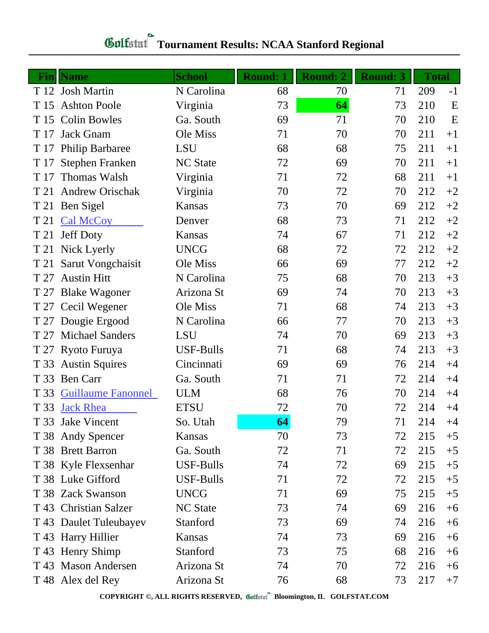## **Gulfatat** Tournament Results: NCAA Stanford Regional

|      | <b>Fin</b> Name           | <b>School</b>    | <b>Round: 1</b> | <b>Round: 2</b> | <b>Round: 3</b> | <b>Total</b> |      |
|------|---------------------------|------------------|-----------------|-----------------|-----------------|--------------|------|
|      | T 12 Josh Martin          | N Carolina       | 68              | 70              | 71              | 209          | $-1$ |
| T 15 | <b>Ashton Poole</b>       | Virginia         | 73              | 64              | 73              | 210          | E    |
| T 15 | <b>Colin Bowles</b>       | Ga. South        | 69              | 71              | 70              | 210          | E    |
| T 17 | <b>Jack Gnam</b>          | Ole Miss         | 71              | 70              | 70              | 211          | $+1$ |
| T 17 | <b>Philip Barbaree</b>    | LSU              | 68              | 68              | 75              | 211          | $+1$ |
| T 17 | Stephen Franken           | <b>NC State</b>  | 72              | 69              | 70              | 211          | $+1$ |
| T 17 | <b>Thomas Walsh</b>       | Virginia         | 71              | 72              | 68              | 211          | $+1$ |
| T 21 | <b>Andrew Orischak</b>    | Virginia         | 70              | 72              | 70              | 212          | $+2$ |
| T 21 | Ben Sigel                 | Kansas           | 73              | 70              | 69              | 212          | $+2$ |
| T 21 | <b>Cal McCoy</b>          | Denver           | 68              | 73              | 71              | 212          | $+2$ |
| T 21 | <b>Jeff Doty</b>          | Kansas           | 74              | 67              | 71              | 212          | $+2$ |
| T 21 | Nick Lyerly               | <b>UNCG</b>      | 68              | 72              | 72              | 212          | $+2$ |
| T 21 | Sarut Vongchaisit         | Ole Miss         | 66              | 69              | 77              | 212          | $+2$ |
| T 27 | <b>Austin Hitt</b>        | N Carolina       | 75              | 68              | 70              | 213          | $+3$ |
| T 27 | <b>Blake Wagoner</b>      | Arizona St       | 69              | 74              | 70              | 213          | $+3$ |
| T 27 | Cecil Wegener             | Ole Miss         | 71              | 68              | 74              | 213          | $+3$ |
|      | T 27 Dougie Ergood        | N Carolina       | 66              | 77              | 70              | 213          | $+3$ |
| T 27 | <b>Michael Sanders</b>    | <b>LSU</b>       | 74              | 70              | 69              | 213          | $+3$ |
| T 27 | Ryoto Furuya              | <b>USF-Bulls</b> | 71              | 68              | 74              | 213          | $+3$ |
| T 33 | <b>Austin Squires</b>     | Cincinnati       | 69              | 69              | 76              | 214          | $+4$ |
| T 33 | <b>Ben Carr</b>           | Ga. South        | 71              | 71              | 72              | 214          | $+4$ |
| T 33 | <b>Guillaume Fanonnel</b> | <b>ULM</b>       | 68              | 76              | 70              | 214          | $+4$ |
| T 33 | <b>Jack Rhea</b>          | <b>ETSU</b>      | 72              | 70              | 72              | 214          | $+4$ |
|      | T 33 Jake Vincent         | So. Utah         | 64              | 79              | 71              | 214          | $+4$ |
|      | T 38 Andy Spencer         | Kansas           | 70              | 73              | 72              | 215          | $+5$ |
|      | T 38 Brett Barron         | Ga. South        | 72              | 71              | 72              | 215          | $+5$ |
|      | T 38 Kyle Flexsenhar      | USF-Bulls        | 74              | 72              | 69              | 215          | $+5$ |
|      | T 38 Luke Gifford         | <b>USF-Bulls</b> | 71              | 72              | 72              | 215          | $+5$ |
|      | T 38 Zack Swanson         | <b>UNCG</b>      | 71              | 69              | 75              | 215          | $+5$ |
|      | T 43 Christian Salzer     | <b>NC State</b>  | 73              | 74              | 69              | 216          | $+6$ |
| T 43 | Daulet Tuleubayev         | Stanford         | 73              | 69              | 74              | 216          | $+6$ |
|      | T 43 Harry Hillier        | Kansas           | 74              | 73              | 69              | 216          | $+6$ |
| T 43 | <b>Henry Shimp</b>        | Stanford         | 73              | 75              | 68              | 216          | $+6$ |
|      | T 43 Mason Andersen       | Arizona St       | 74              | 70              | 72              | 216          | $+6$ |
|      | T 48 Alex del Rey         | Arizona St       | 76              | 68              | 73              | 217          | $+7$ |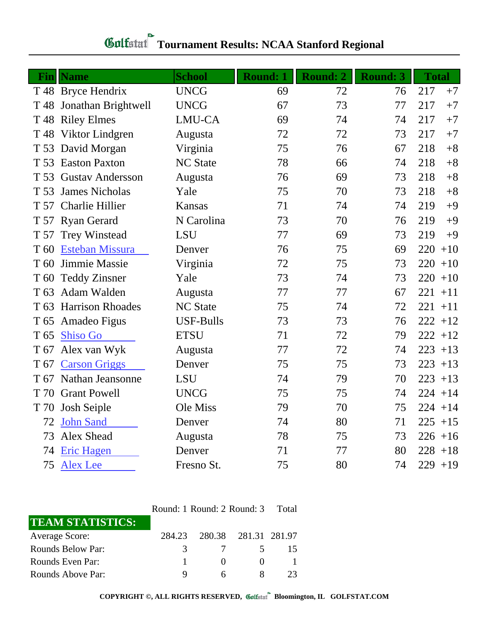| <b>Gulfstat</b> Tournament Results: NCAA Stanford Regional |  |
|------------------------------------------------------------|--|

| Finl            | <b>Name</b>              | <b>School</b>    | <b>Round: 1</b> | Round: 2 | <b>Round: 3</b> | <b>Total</b> |
|-----------------|--------------------------|------------------|-----------------|----------|-----------------|--------------|
|                 | T 48 Bryce Hendrix       | <b>UNCG</b>      | 69              | 72       | 76              | 217<br>$+7$  |
|                 | T 48 Jonathan Brightwell | <b>UNCG</b>      | 67              | 73       | 77              | 217<br>$+7$  |
|                 | T 48 Riley Elmes         | LMU-CA           | 69              | 74       | 74              | 217<br>$+7$  |
| T 48            | Viktor Lindgren          | Augusta          | 72              | 72       | 73              | $+7$<br>217  |
|                 | T 53 David Morgan        | Virginia         | 75              | 76       | 67              | 218<br>$+8$  |
| T 53            | <b>Easton Paxton</b>     | <b>NC State</b>  | 78              | 66       | 74              | $+8$<br>218  |
| T 53            | <b>Gustav Andersson</b>  | Augusta          | 76              | 69       | 73              | $+8$<br>218  |
| T 53            | <b>James Nicholas</b>    | Yale             | 75              | 70       | 73              | 218<br>$+8$  |
|                 | T 57 Charlie Hillier     | Kansas           | 71              | 74       | 74              | $+9$<br>219  |
|                 | T 57 Ryan Gerard         | N Carolina       | 73              | 70       | 76              | $+9$<br>219  |
|                 | T 57 Trey Winstead       | <b>LSU</b>       | 77              | 69       | 73              | $+9$<br>219  |
| T 60            | <b>Esteban Missura</b>   | Denver           | 76              | 75       | 69              | 220<br>$+10$ |
| T 60            | Jimmie Massie            | Virginia         | 72              | 75       | 73              | 220<br>$+10$ |
| T 60            | <b>Teddy Zinsner</b>     | Yale             | 73              | 74       | 73              | 220<br>$+10$ |
| T <sub>63</sub> | Adam Walden              | Augusta          | 77              | 77       | 67              | 221<br>$+11$ |
|                 | T 63 Harrison Rhoades    | <b>NC State</b>  | 75              | 74       | 72              | $221 + 11$   |
| T <sub>65</sub> | Amadeo Figus             | <b>USF-Bulls</b> | 73              | 73       | 76              | $222 + 12$   |
| T <sub>65</sub> | <b>Shiso Go</b>          | <b>ETSU</b>      | 71              | 72       | 79              | $222 + 12$   |
| T 67            | Alex van Wyk             | Augusta          | 77              | 72       | 74              | $223 + 13$   |
| T 67            | <b>Carson Griggs</b>     | Denver           | 75              | 75       | 73              | 223<br>$+13$ |
|                 | T 67 Nathan Jeansonne    | <b>LSU</b>       | 74              | 79       | 70              | $223 + 13$   |
| T 70            | <b>Grant Powell</b>      | <b>UNCG</b>      | 75              | 75       | 74              | $224 + 14$   |
| T 70            | Josh Seiple              | Ole Miss         | 79              | 70       | 75              | $224 + 14$   |
| 72              | <b>John Sand</b>         | Denver           | 74              | 80       | 71              | $225 + 15$   |
| 73              | Alex Shead               | Augusta          | 78              | 75       | 73              | $226 + 16$   |
| 74              | <b>Eric Hagen</b>        | Denver           | 71              | 77       | 80              | $228 + 18$   |
| 75              | <b>Alex Lee</b>          | Fresno St.       | 75              | 80       | 74              | $229 + 19$   |

Round: 1 Round: 2 Round: 3 Total

| <b>TEAM STATISTICS:</b> |        |              |                      |  |
|-------------------------|--------|--------------|----------------------|--|
| Average Score:          | 284.23 |              | 280.38 281.31 281.97 |  |
| Rounds Below Par:       |        |              |                      |  |
| Rounds Even Par:        |        | $\mathbf{U}$ |                      |  |
| Rounds Above Par:       |        |              |                      |  |